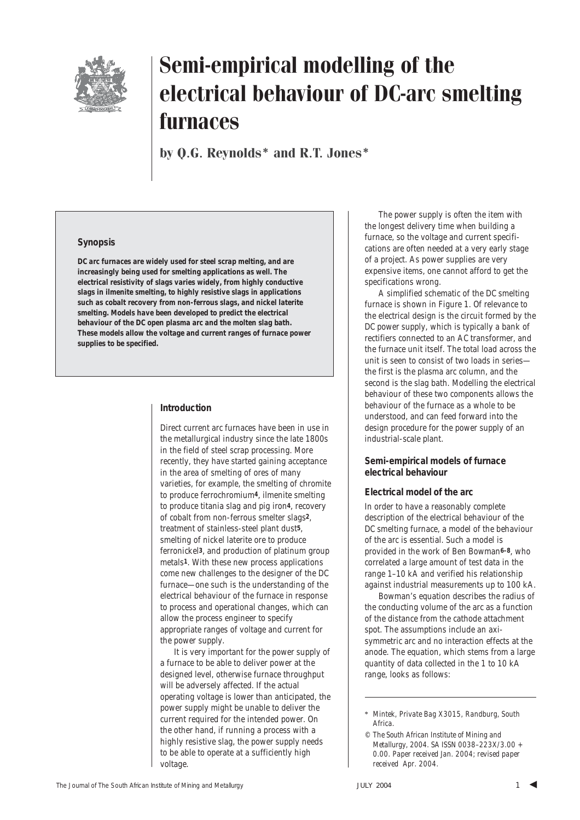

by Q.G. Reynolds\* and R.T. Jones\*

#### **Synopsis**

**DC arc furnaces are widely used for steel scrap melting, and are increasingly being used for smelting applications as well. The electrical resistivity of slags varies widely, from highly conductive slags in ilmenite smelting, to highly resistive slags in applications such as cobalt recovery from non-ferrous slags, and nickel laterite smelting. Models have been developed to predict the electrical behaviour of the DC open plasma arc and the molten slag bath. These models allow the voltage and current ranges of furnace power supplies to be specified.**

#### **Introduction**

Direct current arc furnaces have been in use in the metallurgical industry since the late 1800s in the field of steel scrap processing. More recently, they have started gaining acceptance in the area of smelting of ores of many varieties, for example, the smelting of chromite to produce ferrochromium**4**, ilmenite smelting to produce titania slag and pig iron**4**, recovery of cobalt from non-ferrous smelter slags**2**, treatment of stainless-steel plant dust**5**, smelting of nickel laterite ore to produce ferronickel**3**, and production of platinum group metals**1**. With these new process applications come new challenges to the designer of the DC furnace—one such is the understanding of the electrical behaviour of the furnace in response to process and operational changes, which can allow the process engineer to specify appropriate ranges of voltage and current for the power supply.

It is very important for the power supply of a furnace to be able to deliver power at the designed level, otherwise furnace throughput will be adversely affected. If the actual operating voltage is lower than anticipated, the power supply might be unable to deliver the current required for the intended power. On the other hand, if running a process with a highly resistive slag, the power supply needs to be able to operate at a sufficiently high voltage.

The power supply is often the item with the longest delivery time when building a furnace, so the voltage and current specifications are often needed at a very early stage of a project. As power supplies are very expensive items, one cannot afford to get the specifications wrong.

A simplified schematic of the DC smelting furnace is shown in Figure 1. Of relevance to the electrical design is the circuit formed by the DC power supply, which is typically a bank of rectifiers connected to an AC transformer, and the furnace unit itself. The total load across the unit is seen to consist of two loads in series the first is the plasma arc column, and the second is the slag bath. Modelling the electrical behaviour of these two components allows the behaviour of the furnace as a whole to be understood, and can feed forward into the design procedure for the power supply of an industrial-scale plant.

#### **Semi-empirical models of furnace electrical behaviour**

#### *Electrical model of the arc*

In order to have a reasonably complete description of the electrical behaviour of the DC smelting furnace, a model of the behaviour of the arc is essential. Such a model is provided in the work of Ben Bowman**6–8**, who correlated a large amount of test data in the range 1–10 kA and verified his relationship against industrial measurements up to 100 kA.

Bowman's equation describes the radius of the conducting volume of the arc as a function of the distance from the cathode attachment spot. The assumptions include an axisymmetric arc and no interaction effects at the anode. The equation, which stems from a large quantity of data collected in the 1 to 10 kA range, looks as follows:

<sup>\*</sup> *Mintek, Private Bag X3015, Randburg, South Africa.*

*<sup>©</sup> The South African Institute of Mining and Metallurgy, 2004. SA ISSN 0038–223X/3.00 + 0.00. Paper received Jan. 2004; revised paper received Apr. 2004.*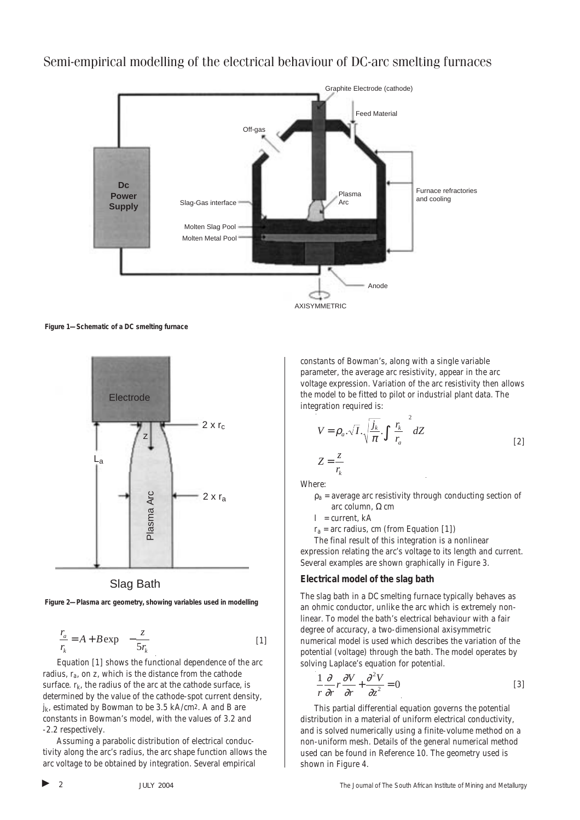

**Figure 1—Schematic of a DC smelting furnace**





**Figure 2—Plasma arc geometry, showing variables used in modelling**

$$
\frac{r_a}{r_k} = A + B \exp\left(-\frac{z}{5r_k}\right) \tag{1}
$$

Equation [1] shows the functional dependence of the arc radius, *ra*, on *z*, which is the distance from the cathode surface.  $r_k$ , the radius of the arc at the cathode surface, is determined by the value of the cathode-spot current density,  $j_k$ , estimated by Bowman to be 3.5 kA/cm<sup>2</sup>. A and B are constants in Bowman's model, with the values of 3.2 and -2.2 respectively.

Assuming a parabolic distribution of electrical conductivity along the arc's radius, the arc shape function allows the arc voltage to be obtained by integration. Several empirical

constants of Bowman's, along with a single variable parameter, the average arc resistivity, appear in the arc voltage expression. Variation of the arc resistivity then allows the model to be fitted to pilot or industrial plant data. The integration required is: 2

$$
V = \rho_a \cdot \sqrt{I} \cdot \sqrt{\frac{j_k}{\pi}} \cdot \int \left(\frac{r_k}{r_a}\right)^2 dZ
$$
  

$$
Z = \frac{z}{r_k}
$$
 [2]

Where:

 $\rho_a$  = average arc resistivity through conducting section of arc column, Ω cm

 $I =$  current, kA

 $r_a$  = arc radius, cm (from Equation [1])

The final result of this integration is a nonlinear expression relating the arc's voltage to its length and current. Several examples are shown graphically in Figure 3.

#### *Electrical model of the slag bath*

The slag bath in a DC smelting furnace typically behaves as an ohmic conductor, unlike the arc which is extremely nonlinear. To model the bath's electrical behaviour with a fair degree of accuracy, a two-dimensional axisymmetric numerical model is used which describes the variation of the potential (voltage) through the bath. The model operates by solving Laplace's equation for potential.

$$
\frac{1}{r}\frac{\partial}{\partial r}r\frac{\partial V}{\partial r} + \frac{\partial^2 V}{\partial z^2} = 0
$$
 [3]

This partial differential equation governs the potential distribution in a material of uniform electrical conductivity, and is solved numerically using a finite-volume method on a non-uniform mesh. Details of the general numerical method used can be found in Reference 10. The geometry used is shown in Figure 4.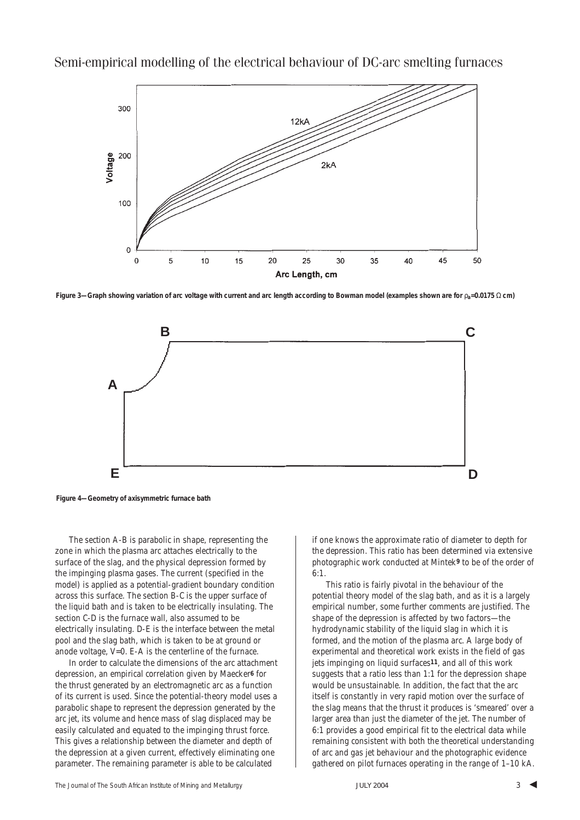

**Figure 3—Graph showing variation of arc voltage with current and arc length according to Bowman model (examples shown are for** ρ**a=0.0175** Ω **cm)**



**Figure 4—Geometry of axisymmetric furnace bath**

The section A-B is parabolic in shape, representing the zone in which the plasma arc attaches electrically to the surface of the slag, and the physical depression formed by the impinging plasma gases. The current (specified in the model) is applied as a potential-gradient boundary condition across this surface. The section B-C is the upper surface of the liquid bath and is taken to be electrically insulating. The section C-D is the furnace wall, also assumed to be electrically insulating. D-E is the interface between the metal pool and the slag bath, which is taken to be at ground or anode voltage, V=0. E-A is the centerline of the furnace.

In order to calculate the dimensions of the arc attachment depression, an empirical correlation given by Maecker**6** for the thrust generated by an electromagnetic arc as a function of its current is used. Since the potential-theory model uses a parabolic shape to represent the depression generated by the arc jet, its volume and hence mass of slag displaced may be easily calculated and equated to the impinging thrust force. This gives a relationship between the diameter and depth of the depression at a given current, effectively eliminating one parameter. The remaining parameter is able to be calculated

if one knows the approximate ratio of diameter to depth for the depression. This ratio has been determined via extensive photographic work conducted at Mintek**9** to be of the order of  $6:1$ 

This ratio is fairly pivotal in the behaviour of the potential theory model of the slag bath, and as it is a largely empirical number, some further comments are justified. The shape of the depression is affected by two factors—the hydrodynamic stability of the liquid slag in which it is formed, and the motion of the plasma arc. A large body of experimental and theoretical work exists in the field of gas jets impinging on liquid surfaces**11**, and all of this work suggests that a ratio less than 1:1 for the depression shape would be unsustainable. In addition, the fact that the arc itself is constantly in very rapid motion over the surface of the slag means that the thrust it produces is 'smeared' over a larger area than just the diameter of the jet. The number of 6:1 provides a good empirical fit to the electrical data while remaining consistent with both the theoretical understanding of arc and gas jet behaviour and the photographic evidence gathered on pilot furnaces operating in the range of 1–10 kA.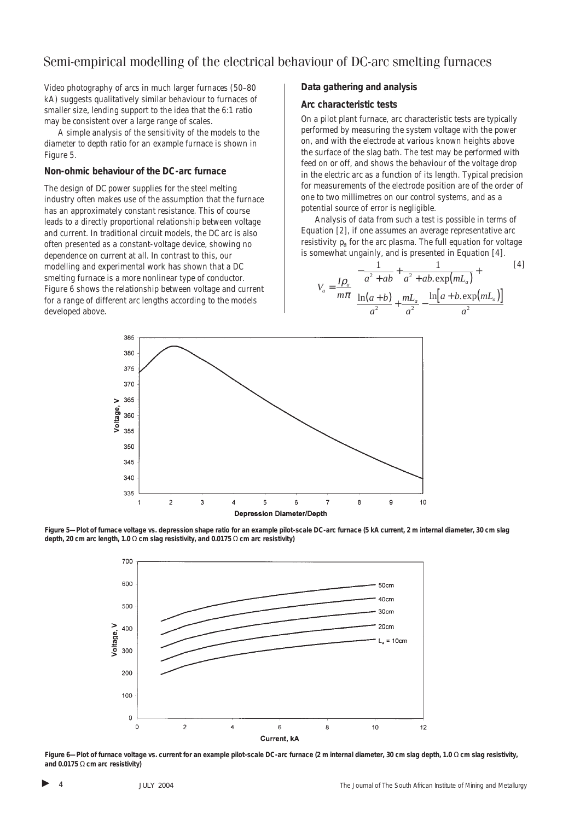Video photography of arcs in much larger furnaces (50–80 kA) suggests qualitatively similar behaviour to furnaces of smaller size, lending support to the idea that the 6:1 ratio may be consistent over a large range of scales.

A simple analysis of the sensitivity of the models to the diameter to depth ratio for an example furnace is shown in Figure 5.

#### *Non-ohmic behaviour of the DC-arc furnace*

The design of DC power supplies for the steel melting industry often makes use of the assumption that the furnace has an approximately constant resistance. This of course leads to a directly proportional relationship between voltage and current. In traditional circuit models, the DC arc is also often presented as a constant-voltage device, showing no dependence on current at all. In contrast to this, our modelling and experimental work has shown that a DC smelting furnace is a more nonlinear type of conductor. Figure 6 shows the relationship between voltage and current for a range of different arc lengths according to the models developed above.

#### **Data gathering and analysis**

#### *Arc characteristic tests*

On a pilot plant furnace, arc characteristic tests are typically performed by measuring the system voltage with the power on, and with the electrode at various known heights above the surface of the slag bath. The test may be performed with feed on or off, and shows the behaviour of the voltage drop in the electric arc as a function of its length. Typical precision for measurements of the electrode position are of the order of one to two millimetres on our control systems, and as a potential source of error is negligible.

Analysis of data from such a test is possible in terms of Equation [2], if one assumes an average representative arc resistivity ρ*<sup>a</sup>* for the arc plasma. The full equation for voltage is somewhat ungainly, and is presented in Equation [4].

$$
V_a = \frac{I\rho_a}{m\pi} \left[ \frac{-\frac{1}{a^2 + ab} + \frac{1}{a^2 + ab \cdot \exp(mL_a)} + \frac{I\phi}{m\pi} \left[ \frac{\ln(a+b)}{a^2} + \frac{mL_a}{a^2} - \frac{\ln(a+b) \exp(mL_a)}{a^2} \right] \right]
$$
 [4]



**Figure 5—Plot of furnace voltage vs. depression shape ratio for an example pilot-scale DC-arc furnace (5 kA current, 2 m internal diameter, 30 cm slag depth, 20 cm arc length, 1.0** Ω **cm slag resistivity, and 0.0175** Ω **cm arc resistivity)**



**Figure 6—Plot of furnace voltage vs. current for an example pilot-scale DC-arc furnace (2 m internal diameter, 30 cm slag depth, 1.0** Ω **cm slag resistivity, and 0.0175** Ω **cm arc resistivity)**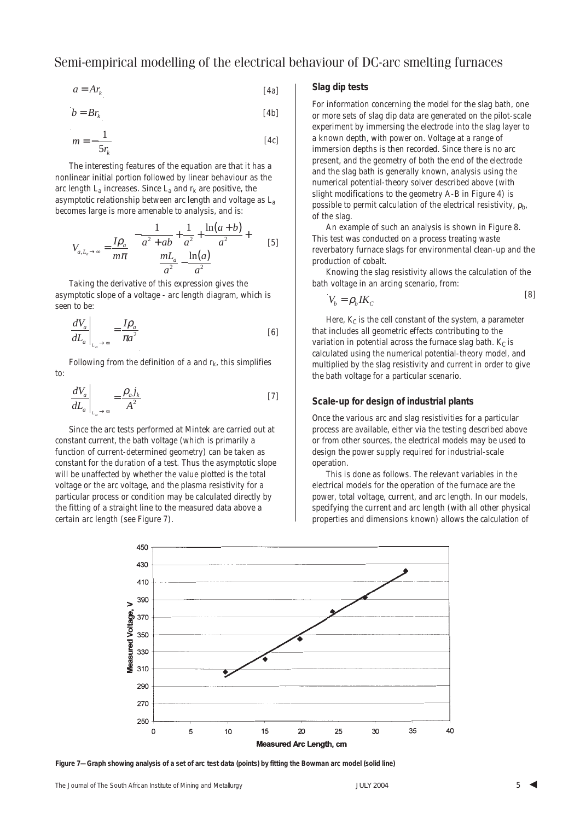$$
a = Ar_k \tag{4a}
$$

$$
b = Br_k \tag{4b}
$$

$$
m = -\frac{1}{5r_k} \tag{4c}
$$

The interesting features of the equation are that it has a nonlinear initial portion followed by linear behaviour as the arc length  $L_a$  increases. Since  $L_a$  and  $r_k$  are positive, the asymptotic relationship between arc length and voltage as *La* becomes large is more amenable to analysis, and is:

$$
V_{a,L_a \to \infty} = \frac{I \rho_a}{m \pi} \left[ \frac{1}{a^2 + ab} + \frac{1}{a^2} + \frac{\ln(a+b)}{a^2} + \frac{I \ln(a+b)}{a^2} + \frac{I \ln(a+b)}{a^2} \right]
$$
 [5]

Taking the derivative of this expression gives the asymptotic slope of a voltage - arc length diagram, which is seen to be:

$$
\left. \frac{dV_a}{dL_a} \right|_{L_a \to \infty} = \frac{I \rho_a}{\pi a^2} \tag{6}
$$

Following from the definition of  $a$  and  $r_k$ , this simplifies to:

$$
\left. \frac{dV_a}{dL_a} \right|_{L_a \to \infty} = \frac{\rho_a j_k}{A^2}
$$
 [7]

Since the arc tests performed at Mintek are carried out at constant current, the bath voltage (which is primarily a function of current-determined geometry) can be taken as constant for the duration of a test. Thus the asymptotic slope will be unaffected by whether the value plotted is the total voltage or the arc voltage, and the plasma resistivity for a particular process or condition may be calculated directly by the fitting of a straight line to the measured data above a certain arc length (see Figure 7).

#### *Slag dip tests*

For information concerning the model for the slag bath, one or more sets of slag dip data are generated on the pilot-scale experiment by immersing the electrode into the slag layer to a known depth, with power on. Voltage at a range of immersion depths is then recorded. Since there is no arc present, and the geometry of both the end of the electrode and the slag bath is generally known, analysis using the numerical potential-theory solver described above (with slight modifications to the geometry A-B in Figure 4) is possible to permit calculation of the electrical resistivity, ρ*b*, of the slag.

An example of such an analysis is shown in Figure 8. This test was conducted on a process treating waste reverbatory furnace slags for environmental clean-up and the production of cobalt.

Knowing the slag resistivity allows the calculation of the bath voltage in an arcing scenario, from:

$$
V_b = \rho_b I K_c \tag{8}
$$

Here,  $K_C$  is the cell constant of the system, a parameter that includes all geometric effects contributing to the variation in potential across the furnace slag bath.  $K_C$  is calculated using the numerical potential-theory model, and multiplied by the slag resistivity and current in order to give the bath voltage for a particular scenario.

#### **Scale-up for design of industrial plants**

Once the various arc and slag resistivities for a particular process are available, either via the testing described above or from other sources, the electrical models may be used to design the power supply required for industrial-scale operation.

This is done as follows. The relevant variables in the electrical models for the operation of the furnace are the power, total voltage, current, and arc length. In our models, specifying the current and arc length (with all other physical properties and dimensions known) allows the calculation of



**Figure 7—Graph showing analysis of a set of arc test data (points) by fitting the Bowman arc model (solid line)**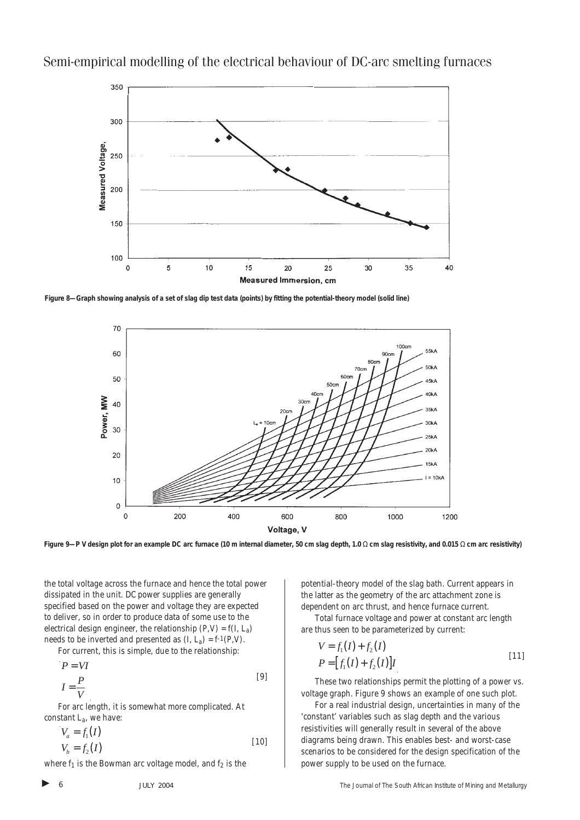

**Figure 8—Graph showing analysis of a set of slag dip test data (points) by fitting the potential-theory model (solid line)**



**Figure 9—P V design plot for an example DC arc furnace (10 m internal diameter, 50 cm slag depth, 1.0** Ω **cm slag resistivity, and 0.015** Ω **cm arc resistivity)**

the total voltage across the furnace and hence the total power dissipated in the unit. DC power supplies are generally specified based on the power and voltage they are expected to deliver, so in order to produce data of some use to the electrical design engineer, the relationship  $(P, V) = f(I, L_a)$ needs to be inverted and presented as  $(I, L_a) = f(1, V)$ .

For current, this is simple, due to the relationship:

$$
P = VI
$$
  

$$
I = \frac{P}{V}
$$
 [9]

For arc length, it is somewhat more complicated. At constant  $L_a$ , we have:

$$
V_a = f_1(I)
$$
  
\n
$$
V_b = f_2(I)
$$
\n[10]

where  $f_1$  is the Bowman arc voltage model, and  $f_2$  is the

potential-theory model of the slag bath. Current appears in the latter as the geometry of the arc attachment zone is dependent on arc thrust, and hence furnace current.

Total furnace voltage and power at constant arc length are thus seen to be parameterized by current:

$$
V = f_1(I) + f_2(I)
$$
  
\n
$$
P = [f_1(I) + f_2(I)]I
$$
\n[11]

These two relationships permit the plotting of a power vs. voltage graph. Figure 9 shows an example of one such plot.

For a real industrial design, uncertainties in many of the 'constant' variables such as slag depth and the various resistivities will generally result in several of the above diagrams being drawn. This enables best- and worst-case scenarios to be considered for the design specification of the power supply to be used on the furnace.